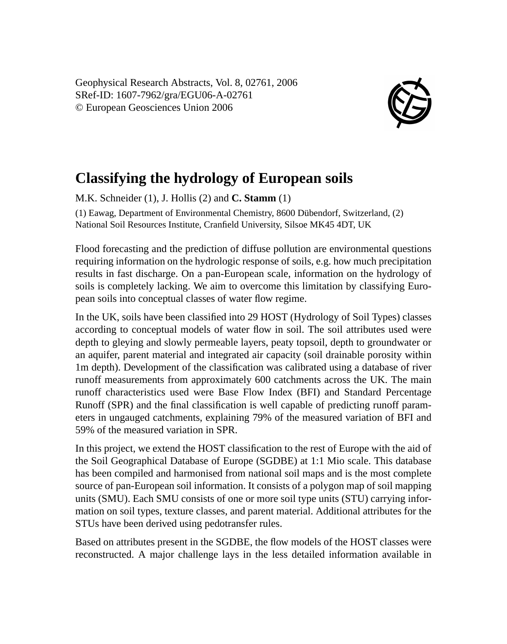Geophysical Research Abstracts, Vol. 8, 02761, 2006 SRef-ID: 1607-7962/gra/EGU06-A-02761 © European Geosciences Union 2006



## **Classifying the hydrology of European soils**

M.K. Schneider (1), J. Hollis (2) and **C. Stamm** (1)

(1) Eawag, Department of Environmental Chemistry, 8600 Dübendorf, Switzerland, (2) National Soil Resources Institute, Cranfield University, Silsoe MK45 4DT, UK

Flood forecasting and the prediction of diffuse pollution are environmental questions requiring information on the hydrologic response of soils, e.g. how much precipitation results in fast discharge. On a pan-European scale, information on the hydrology of soils is completely lacking. We aim to overcome this limitation by classifying European soils into conceptual classes of water flow regime.

In the UK, soils have been classified into 29 HOST (Hydrology of Soil Types) classes according to conceptual models of water flow in soil. The soil attributes used were depth to gleying and slowly permeable layers, peaty topsoil, depth to groundwater or an aquifer, parent material and integrated air capacity (soil drainable porosity within 1m depth). Development of the classification was calibrated using a database of river runoff measurements from approximately 600 catchments across the UK. The main runoff characteristics used were Base Flow Index (BFI) and Standard Percentage Runoff (SPR) and the final classification is well capable of predicting runoff parameters in ungauged catchments, explaining 79% of the measured variation of BFI and 59% of the measured variation in SPR.

In this project, we extend the HOST classification to the rest of Europe with the aid of the Soil Geographical Database of Europe (SGDBE) at 1:1 Mio scale. This database has been compiled and harmonised from national soil maps and is the most complete source of pan-European soil information. It consists of a polygon map of soil mapping units (SMU). Each SMU consists of one or more soil type units (STU) carrying information on soil types, texture classes, and parent material. Additional attributes for the STUs have been derived using pedotransfer rules.

Based on attributes present in the SGDBE, the flow models of the HOST classes were reconstructed. A major challenge lays in the less detailed information available in